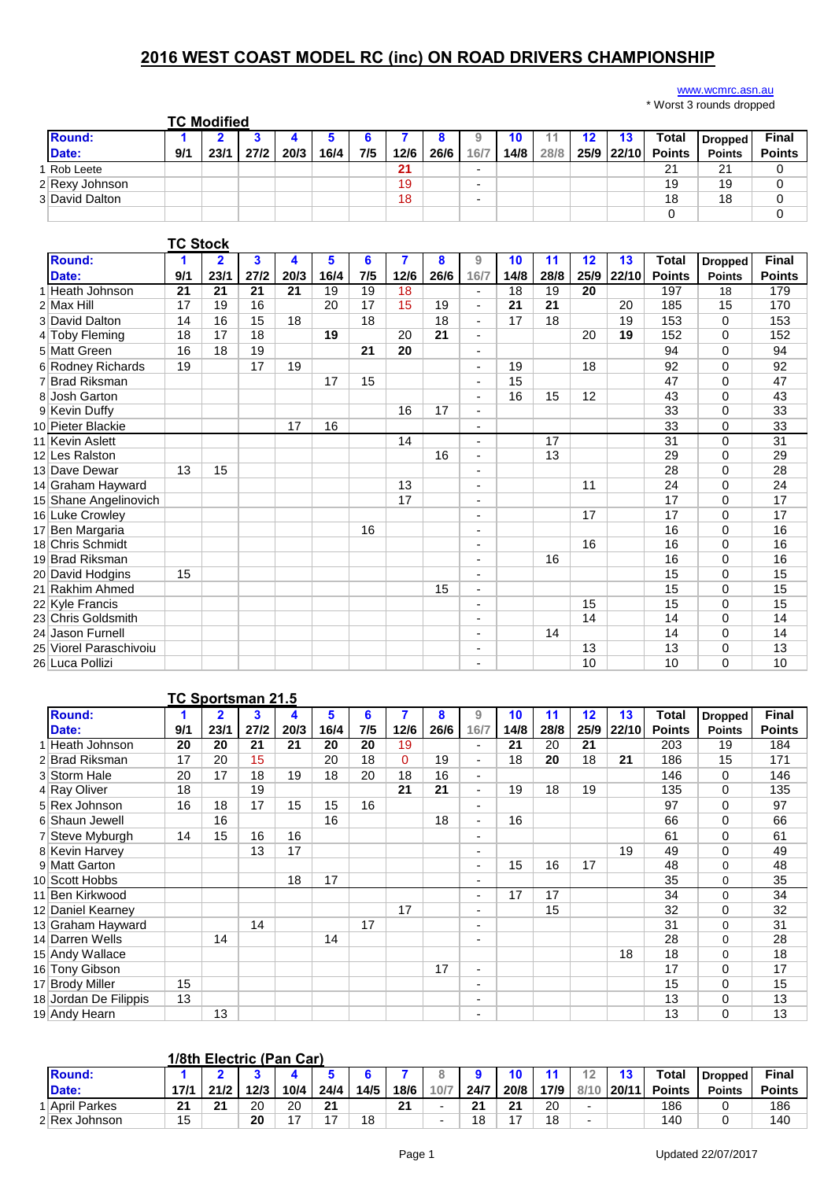## **2016 WEST COAST MODEL RC (inc) ON ROAD DRIVERS CHAMPIONSHIP**

## [www.wcmrc.as](http://www.wcmrc.asn.au/)n.au

|                |     |                    |      |      |      |     |      |      |      |      |      |    |                   | wordt o Todildo diopped |               |
|----------------|-----|--------------------|------|------|------|-----|------|------|------|------|------|----|-------------------|-------------------------|---------------|
|                |     | <b>TC Modified</b> |      |      |      |     |      |      |      |      |      |    |                   |                         |               |
| <b>Round:</b>  |     |                    |      |      |      |     |      |      |      | 10   |      | 12 | Total             | <b>Dropped</b>          | <b>Final</b>  |
| Date:          | 9/1 | 23/1               | 27/2 | 20/3 | 16/4 | 7/5 | 12/6 | 26/6 | 16/7 | 14/8 | 28/8 |    | 25/9 22/10 Points | <b>Points</b>           | <b>Points</b> |
| Rob Leete      |     |                    |      |      |      |     | 21   |      |      |      |      |    | 21                | 21                      |               |
| 2 Rexy Johnson |     |                    |      |      |      |     | 19   |      |      |      |      |    | 19                | 19                      |               |
| 3 David Dalton |     |                    |      |      |      |     | 18   |      | -    |      |      |    | 18                | 18                      |               |
|                |     |                    |      |      |      |     |      |      |      |      |      |    |                   |                         |               |

|                        | <b>TC Stock</b> |                |      |      |      |     |                |      |                          |      |      |                   |       |               |                |               |
|------------------------|-----------------|----------------|------|------|------|-----|----------------|------|--------------------------|------|------|-------------------|-------|---------------|----------------|---------------|
| Round:                 | 1               | $\overline{2}$ | 3    | 4    | 5    | 6   | $\overline{7}$ | 8    | 9                        | 10   | 11   | $12 \overline{ }$ | 13    | <b>Total</b>  | <b>Dropped</b> | <b>Final</b>  |
| Date:                  | 9/1             | 23/1           | 27/2 | 20/3 | 16/4 | 7/5 | 12/6           | 26/6 | 16/7                     | 14/8 | 28/8 | 25/9              | 22/10 | <b>Points</b> | <b>Points</b>  | <b>Points</b> |
| Heath Johnson          | 21              | 21             | 21   | 21   | 19   | 19  | 18             |      | $\overline{\phantom{a}}$ | 18   | 19   | 20                |       | 197           | 18             | 179           |
| $2$ Max Hill           | 17              | 19             | 16   |      | 20   | 17  | 15             | 19   | $\overline{\phantom{a}}$ | 21   | 21   |                   | 20    | 185           | 15             | 170           |
| 3 David Dalton         | 14              | 16             | 15   | 18   |      | 18  |                | 18   | $\overline{\phantom{a}}$ | 17   | 18   |                   | 19    | 153           | 0              | 153           |
| 4 Toby Fleming         | 18              | 17             | 18   |      | 19   |     | 20             | 21   | $\overline{\phantom{a}}$ |      |      | 20                | 19    | 152           | 0              | 152           |
| 5 Matt Green           | 16              | 18             | 19   |      |      | 21  | 20             |      | $\overline{\phantom{a}}$ |      |      |                   |       | 94            | 0              | 94            |
| 6 Rodney Richards      | 19              |                | 17   | 19   |      |     |                |      | $\overline{\phantom{0}}$ | 19   |      | 18                |       | 92            | $\Omega$       | 92            |
| 7 Brad Riksman         |                 |                |      |      | 17   | 15  |                |      | $\blacksquare$           | 15   |      |                   |       | 47            | $\Omega$       | 47            |
| 8 Josh Garton          |                 |                |      |      |      |     |                |      | $\blacksquare$           | 16   | 15   | 12                |       | 43            | $\Omega$       | 43            |
| 9 Kevin Duffy          |                 |                |      |      |      |     | 16             | 17   | $\overline{\phantom{a}}$ |      |      |                   |       | 33            | $\Omega$       | 33            |
| 10 Pieter Blackie      |                 |                |      | 17   | 16   |     |                |      | $\blacksquare$           |      |      |                   |       | 33            | 0              | 33            |
| 11 Kevin Aslett        |                 |                |      |      |      |     | 14             |      | ٠                        |      | 17   |                   |       | 31            | $\Omega$       | 31            |
| 12 Les Ralston         |                 |                |      |      |      |     |                | 16   | $\blacksquare$           |      | 13   |                   |       | 29            | 0              | 29            |
| 13 Dave Dewar          | 13              | 15             |      |      |      |     |                |      | $\blacksquare$           |      |      |                   |       | 28            | 0              | 28            |
| 14 Graham Hayward      |                 |                |      |      |      |     | 13             |      | $\blacksquare$           |      |      | 11                |       | 24            | $\Omega$       | 24            |
| 15 Shane Angelinovich  |                 |                |      |      |      |     | 17             |      | $\overline{\phantom{a}}$ |      |      |                   |       | 17            | $\Omega$       | 17            |
| 16 Luke Crowley        |                 |                |      |      |      |     |                |      | $\blacksquare$           |      |      | 17                |       | 17            | $\Omega$       | 17            |
| 17 Ben Margaria        |                 |                |      |      |      | 16  |                |      | $\blacksquare$           |      |      |                   |       | 16            | $\Omega$       | 16            |
| 18 Chris Schmidt       |                 |                |      |      |      |     |                |      |                          |      |      | 16                |       | 16            | $\Omega$       | 16            |
| 19 Brad Riksman        |                 |                |      |      |      |     |                |      | $\overline{\phantom{a}}$ |      | 16   |                   |       | 16            | 0              | 16            |
| 20 David Hodgins       | 15              |                |      |      |      |     |                |      | $\blacksquare$           |      |      |                   |       | 15            | $\Omega$       | 15            |
| 21 Rakhim Ahmed        |                 |                |      |      |      |     |                | 15   | $\overline{\phantom{a}}$ |      |      |                   |       | 15            | $\Omega$       | 15            |
| 22 Kyle Francis        |                 |                |      |      |      |     |                |      | $\blacksquare$           |      |      | 15                |       | 15            | $\Omega$       | 15            |
| 23 Chris Goldsmith     |                 |                |      |      |      |     |                |      |                          |      |      | 14                |       | 14            | $\Omega$       | 14            |
| 24 Jason Furnell       |                 |                |      |      |      |     |                |      |                          |      | 14   |                   |       | 14            | 0              | 14            |
| 25 Viorel Paraschivoiu |                 |                |      |      |      |     |                |      | $\blacksquare$           |      |      | 13                |       | 13            | 0              | 13            |
| 26 Luca Pollizi        |                 |                |      |      |      |     |                |      |                          |      |      | 10                |       | 10            | $\Omega$       | 10            |

## **TC Sportsman 21.5**

| <b>Round:</b>         | 1   | $\overline{2}$ | 3    |      | 5    | 6   |          | 8    | 9                        | 10   | 11   | $12 \overline{ }$ | 13    | <b>Total</b>  | <b>Dropped</b> | <b>Final</b>  |
|-----------------------|-----|----------------|------|------|------|-----|----------|------|--------------------------|------|------|-------------------|-------|---------------|----------------|---------------|
| Date:                 | 9/1 | 23/1           | 27/2 | 20/3 | 16/4 | 7/5 | 12/6     | 26/6 | 16/7                     | 14/8 | 28/8 | 25/9              | 22/10 | <b>Points</b> | <b>Points</b>  | <b>Points</b> |
| Heath Johnson         | 20  | 20             | 21   | 21   | 20   | 20  | 19       |      | $\blacksquare$           | 21   | 20   | 21                |       | 203           | 19             | 184           |
| 2 Brad Riksman        | 17  | 20             | 15   |      | 20   | 18  | $\Omega$ | 19   | $\blacksquare$           | 18   | 20   | 18                | 21    | 186           | 15             | 171           |
| 3 Storm Hale          | 20  | 17             | 18   | 19   | 18   | 20  | 18       | 16   | $\overline{\phantom{a}}$ |      |      |                   |       | 146           | 0              | 146           |
| 4 Ray Oliver          | 18  |                | 19   |      |      |     | 21       | 21   | ۰.                       | 19   | 18   | 19                |       | 135           | $\Omega$       | 135           |
| 5 Rex Johnson         | 16  | 18             | 17   | 15   | 15   | 16  |          |      | ۰.                       |      |      |                   |       | 97            | 0              | 97            |
| 6 Shaun Jewell        |     | 16             |      |      | 16   |     |          | 18   | ۰.                       | 16   |      |                   |       | 66            | $\Omega$       | 66            |
| 7 Steve Myburgh       | 14  | 15             | 16   | 16   |      |     |          |      | $\overline{\phantom{a}}$ |      |      |                   |       | 61            | 0              | 61            |
| 8 Kevin Harvey        |     |                | 13   | 17   |      |     |          |      | ٠                        |      |      |                   | 19    | 49            | 0              | 49            |
| 9 Matt Garton         |     |                |      |      |      |     |          |      | $\overline{\phantom{a}}$ | 15   | 16   | 17                |       | 48            | 0              | 48            |
| 10 Scott Hobbs        |     |                |      | 18   | 17   |     |          |      | $\overline{\phantom{a}}$ |      |      |                   |       | 35            | 0              | 35            |
| 11 Ben Kirkwood       |     |                |      |      |      |     |          |      | $\overline{\phantom{a}}$ | 17   | 17   |                   |       | 34            | 0              | 34            |
| 12 Daniel Kearney     |     |                |      |      |      |     | 17       |      | $\overline{\phantom{a}}$ |      | 15   |                   |       | 32            | 0              | 32            |
| 13 Graham Hayward     |     |                | 14   |      |      | 17  |          |      | ٠                        |      |      |                   |       | 31            | 0              | 31            |
| 14 Darren Wells       |     | 14             |      |      | 14   |     |          |      | $\overline{\phantom{a}}$ |      |      |                   |       | 28            | $\Omega$       | 28            |
| 15 Andy Wallace       |     |                |      |      |      |     |          |      |                          |      |      |                   | 18    | 18            | 0              | 18            |
| 16 Tony Gibson        |     |                |      |      |      |     |          | 17   | ٠                        |      |      |                   |       | 17            | 0              | 17            |
| 17 Brody Miller       | 15  |                |      |      |      |     |          |      | $\overline{\phantom{a}}$ |      |      |                   |       | 15            | $\Omega$       | 15            |
| 18 Jordan De Filippis | 13  |                |      |      |      |     |          |      | ٠                        |      |      |                   |       | 13            | 0              | 13            |
| 19 Andy Hearn         |     | 13             |      |      |      |     |          |      | $\overline{\phantom{a}}$ |      |      |                   |       | 13            | 0              | 13            |

|               |      | 1/8th Electric (Pan Car) |      |      |               |      |      |      |      |      |      |                          |       |               |                |               |
|---------------|------|--------------------------|------|------|---------------|------|------|------|------|------|------|--------------------------|-------|---------------|----------------|---------------|
| <b>Round:</b> |      |                          |      |      |               |      |      |      |      |      | 11   |                          |       | Total         | <b>Dropped</b> | Final         |
| Date:         | 17/1 | 21/2                     | 12/3 | 10/4 | 24/4          | 14/5 | 18/6 | 10/7 | 24/7 | 20/8 | 17/9 | 8/1'                     | 20/11 | <b>Points</b> | <b>Points</b>  | <b>Points</b> |
| April Parkes  | 21   | 21                       | 20   | 20   | 21            |      | 21   |      | 24   | 21   | 20   |                          |       | 186           |                | 186           |
| 2 Rex Johnson | 15   |                          | 20   | –    | $\rightarrow$ | 18   |      |      | 18   | 17   | 18   | $\overline{\phantom{0}}$ |       | 140           |                | 140           |